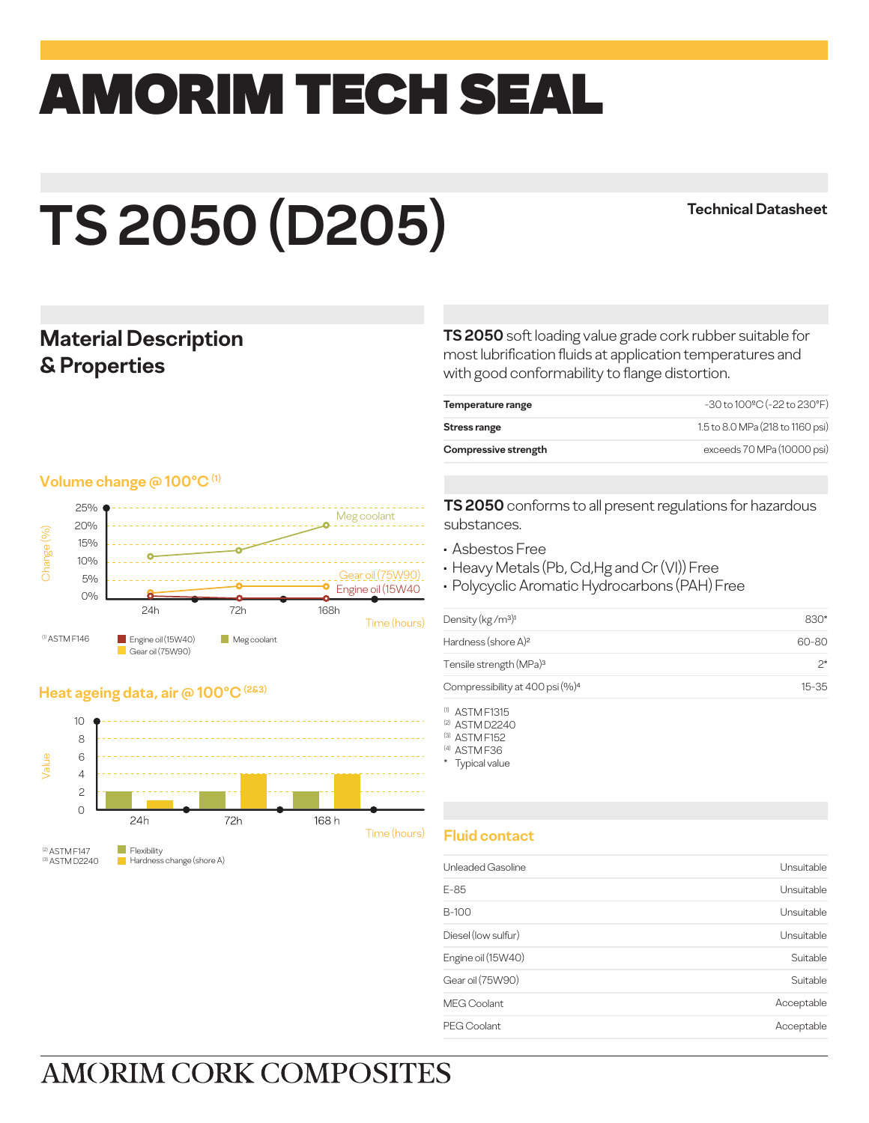## amorim TECH SEAL

# **TS 2050 (D205)**

#### **Technical Datasheet**

#### **Material Description & Properties**

#### **Volume change @ 100°C (1)**



#### **Heat ageing data, air @ 100°C (2&3)**



(3) ASTM D2240 Flexibility Hardness change (shore A)

**TS 2050** soft loading value grade cork rubber suitable for most lubrification fluids at application temperatures and with good conformability to flange distortion.

| Compressive strength | exceeds 70 MPa (10000 psi)              |
|----------------------|-----------------------------------------|
| Stress range         | 1.5 to 8.0 MPa (218 to 1160 psi)        |
| Temperature range    | $-30$ to $100^{\circ}$ C (-22 to 230°F) |
|                      |                                         |

**TS 2050** conforms to all present regulations for hazardous substances.

- Asbestos Free
- Heavy Metals (Pb, Cd,Hg and Cr (VI)) Free
- Polycyclic Aromatic Hydrocarbons (PAH) Free

| 830*      |
|-----------|
| 60-80     |
| つ*        |
| $15 - 35$ |
|           |

(1) ASTM F1315

(2) ASTM D2240

(3) ASTM F152 (4) ASTM F36

\* Typical value

#### **Fluid contact**

| Unleaded Gasoline   | Unsuitable |
|---------------------|------------|
| E-85                | Unsuitable |
| B-100               | Unsuitable |
| Diesel (low sulfur) | Unsuitable |
| Engine oil (15W40)  | Suitable   |
| Gear oil (75W90)    | Suitable   |
| <b>MEG Coolant</b>  | Acceptable |
| PEG Coolant         | Acceptable |

## **AMORIM CORK COMPOSITES**